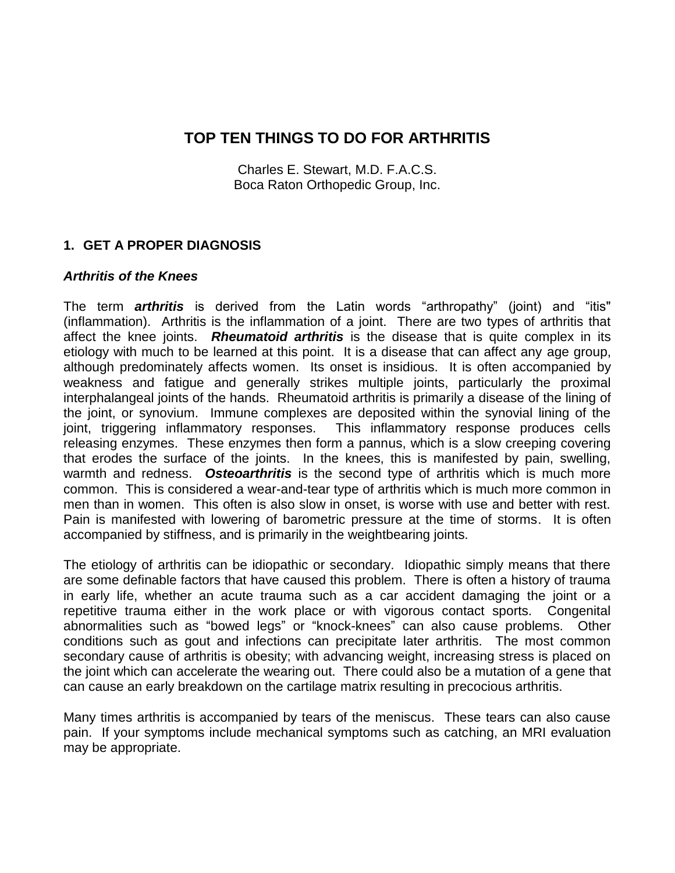Charles E. Stewart, M.D. F.A.C.S. Boca Raton Orthopedic Group, Inc.

## **1. GET A PROPER DIAGNOSIS**

#### *Arthritis of the Knees*

The term *arthritis* is derived from the Latin words "arthropathy" (joint) and "itis" (inflammation). Arthritis is the inflammation of a joint. There are two types of arthritis that affect the knee joints. *Rheumatoid arthritis* is the disease that is quite complex in its etiology with much to be learned at this point. It is a disease that can affect any age group, although predominately affects women. Its onset is insidious. It is often accompanied by weakness and fatigue and generally strikes multiple joints, particularly the proximal interphalangeal joints of the hands. Rheumatoid arthritis is primarily a disease of the lining of the joint, or synovium. Immune complexes are deposited within the synovial lining of the joint, triggering inflammatory responses. This inflammatory response produces cells releasing enzymes. These enzymes then form a pannus, which is a slow creeping covering that erodes the surface of the joints. In the knees, this is manifested by pain, swelling, warmth and redness. *Osteoarthritis* is the second type of arthritis which is much more common. This is considered a wear-and-tear type of arthritis which is much more common in men than in women. This often is also slow in onset, is worse with use and better with rest. Pain is manifested with lowering of barometric pressure at the time of storms. It is often accompanied by stiffness, and is primarily in the weightbearing joints.

The etiology of arthritis can be idiopathic or secondary. Idiopathic simply means that there are some definable factors that have caused this problem. There is often a history of trauma in early life, whether an acute trauma such as a car accident damaging the joint or a repetitive trauma either in the work place or with vigorous contact sports. Congenital abnormalities such as "bowed legs" or "knock-knees" can also cause problems. Other conditions such as gout and infections can precipitate later arthritis. The most common secondary cause of arthritis is obesity; with advancing weight, increasing stress is placed on the joint which can accelerate the wearing out. There could also be a mutation of a gene that can cause an early breakdown on the cartilage matrix resulting in precocious arthritis.

Many times arthritis is accompanied by tears of the meniscus. These tears can also cause pain. If your symptoms include mechanical symptoms such as catching, an MRI evaluation may be appropriate.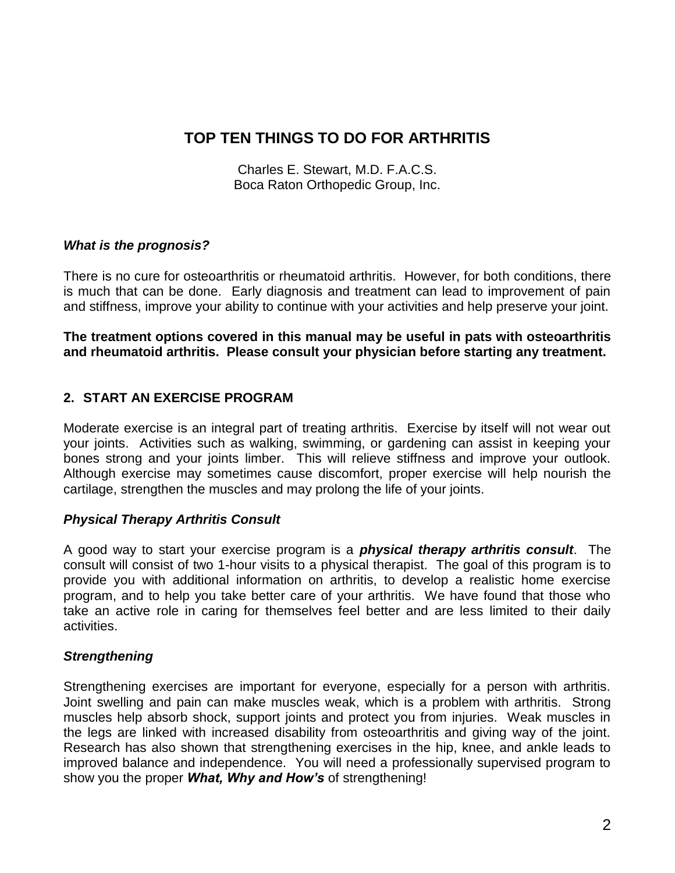Charles E. Stewart, M.D. F.A.C.S. Boca Raton Orthopedic Group, Inc.

#### *What is the prognosis?*

There is no cure for osteoarthritis or rheumatoid arthritis. However, for both conditions, there is much that can be done. Early diagnosis and treatment can lead to improvement of pain and stiffness, improve your ability to continue with your activities and help preserve your joint.

**The treatment options covered in this manual may be useful in pats with osteoarthritis and rheumatoid arthritis. Please consult your physician before starting any treatment.**

## **2. START AN EXERCISE PROGRAM**

Moderate exercise is an integral part of treating arthritis. Exercise by itself will not wear out your joints. Activities such as walking, swimming, or gardening can assist in keeping your bones strong and your joints limber. This will relieve stiffness and improve your outlook. Although exercise may sometimes cause discomfort, proper exercise will help nourish the cartilage, strengthen the muscles and may prolong the life of your joints.

## *Physical Therapy Arthritis Consult*

A good way to start your exercise program is a *physical therapy arthritis consult*. The consult will consist of two 1-hour visits to a physical therapist. The goal of this program is to provide you with additional information on arthritis, to develop a realistic home exercise program, and to help you take better care of your arthritis. We have found that those who take an active role in caring for themselves feel better and are less limited to their daily activities.

#### *Strengthening*

Strengthening exercises are important for everyone, especially for a person with arthritis. Joint swelling and pain can make muscles weak, which is a problem with arthritis. Strong muscles help absorb shock, support joints and protect you from injuries. Weak muscles in the legs are linked with increased disability from osteoarthritis and giving way of the joint. Research has also shown that strengthening exercises in the hip, knee, and ankle leads to improved balance and independence. You will need a professionally supervised program to show you the proper *What, Why and How's* of strengthening!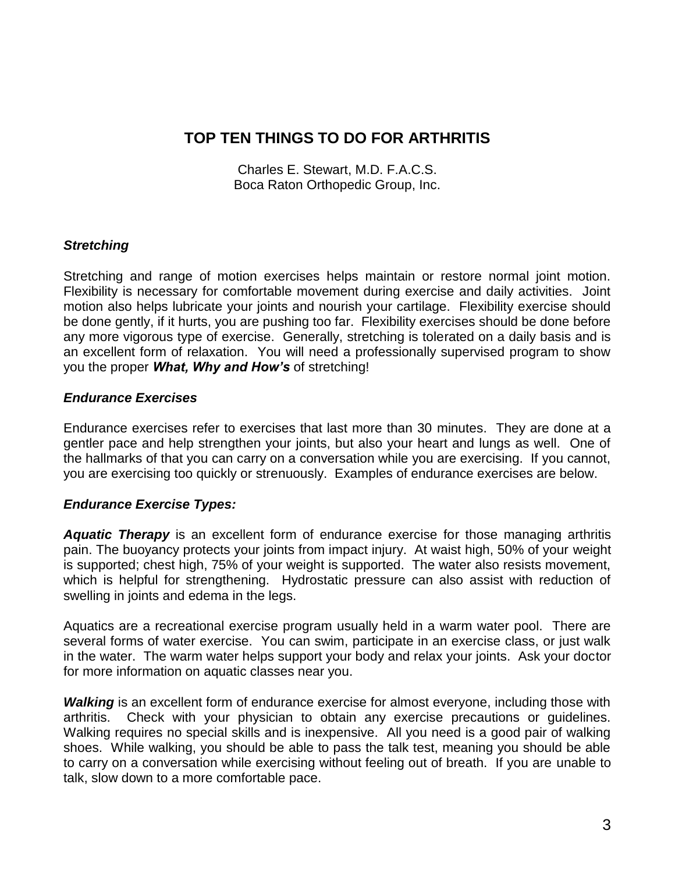Charles E. Stewart, M.D. F.A.C.S. Boca Raton Orthopedic Group, Inc.

#### *Stretching*

Stretching and range of motion exercises helps maintain or restore normal joint motion. Flexibility is necessary for comfortable movement during exercise and daily activities. Joint motion also helps lubricate your joints and nourish your cartilage. Flexibility exercise should be done gently, if it hurts, you are pushing too far. Flexibility exercises should be done before any more vigorous type of exercise. Generally, stretching is tolerated on a daily basis and is an excellent form of relaxation. You will need a professionally supervised program to show you the proper *What, Why and How's* of stretching!

#### *Endurance Exercises*

Endurance exercises refer to exercises that last more than 30 minutes. They are done at a gentler pace and help strengthen your joints, but also your heart and lungs as well. One of the hallmarks of that you can carry on a conversation while you are exercising. If you cannot, you are exercising too quickly or strenuously. Examples of endurance exercises are below.

## *Endurance Exercise Types:*

*Aquatic Therapy* is an excellent form of endurance exercise for those managing arthritis pain. The buoyancy protects your joints from impact injury. At waist high, 50% of your weight is supported; chest high, 75% of your weight is supported. The water also resists movement, which is helpful for strengthening. Hydrostatic pressure can also assist with reduction of swelling in joints and edema in the legs.

Aquatics are a recreational exercise program usually held in a warm water pool. There are several forms of water exercise. You can swim, participate in an exercise class, or just walk in the water. The warm water helps support your body and relax your joints. Ask your doctor for more information on aquatic classes near you.

*Walking* is an excellent form of endurance exercise for almost everyone, including those with arthritis. Check with your physician to obtain any exercise precautions or guidelines. Walking requires no special skills and is inexpensive. All you need is a good pair of walking shoes. While walking, you should be able to pass the talk test, meaning you should be able to carry on a conversation while exercising without feeling out of breath. If you are unable to talk, slow down to a more comfortable pace.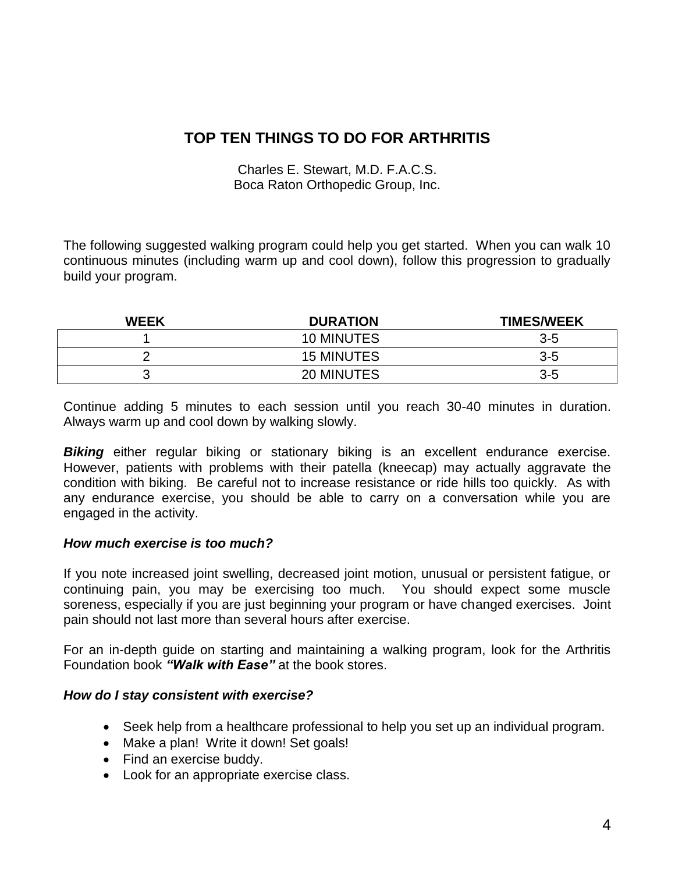Charles E. Stewart, M.D. F.A.C.S. Boca Raton Orthopedic Group, Inc.

The following suggested walking program could help you get started. When you can walk 10 continuous minutes (including warm up and cool down), follow this progression to gradually build your program.

| <b>WEEK</b> | <b>DURATION</b>   | <b>TIMES/WEEK</b> |
|-------------|-------------------|-------------------|
|             | 10 MINUTES        | $3 - 5$           |
|             | <b>15 MINUTES</b> | $3 - 5$           |
|             | 20 MINUTES        | $3 - 5$           |

Continue adding 5 minutes to each session until you reach 30-40 minutes in duration. Always warm up and cool down by walking slowly.

**Biking** either regular biking or stationary biking is an excellent endurance exercise. However, patients with problems with their patella (kneecap) may actually aggravate the condition with biking. Be careful not to increase resistance or ride hills too quickly. As with any endurance exercise, you should be able to carry on a conversation while you are engaged in the activity.

## *How much exercise is too much?*

If you note increased joint swelling, decreased joint motion, unusual or persistent fatigue, or continuing pain, you may be exercising too much. You should expect some muscle soreness, especially if you are just beginning your program or have changed exercises. Joint pain should not last more than several hours after exercise.

For an in-depth guide on starting and maintaining a walking program, look for the Arthritis Foundation book *"Walk with Ease"* at the book stores.

#### *How do I stay consistent with exercise?*

- Seek help from a healthcare professional to help you set up an individual program.
- Make a plan! Write it down! Set goals!
- Find an exercise buddy.
- Look for an appropriate exercise class.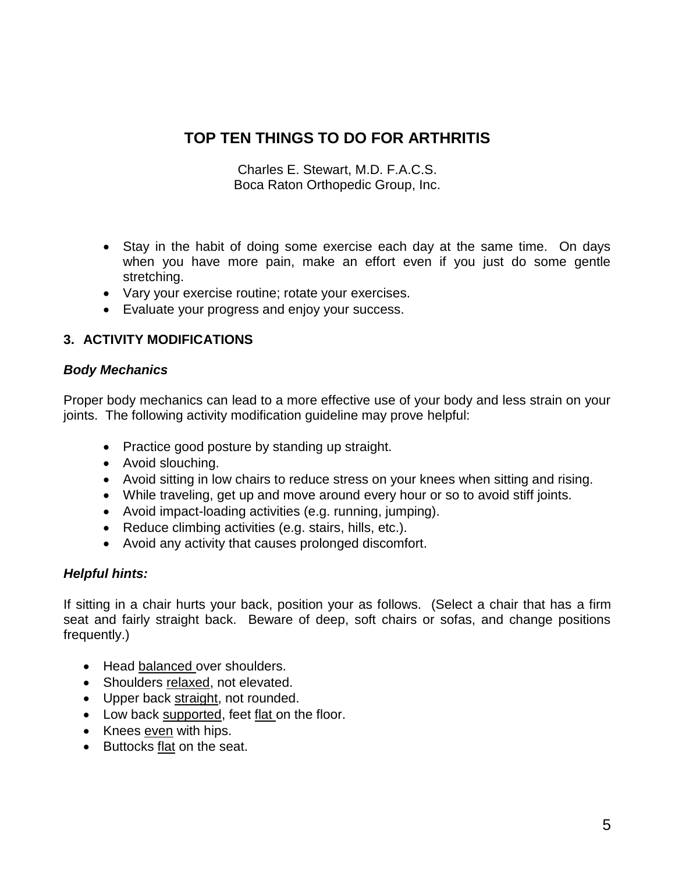Charles E. Stewart, M.D. F.A.C.S. Boca Raton Orthopedic Group, Inc.

- Stay in the habit of doing some exercise each day at the same time. On days when you have more pain, make an effort even if you just do some gentle stretching.
- Vary your exercise routine; rotate your exercises.
- Evaluate your progress and enjoy your success.

## **3. ACTIVITY MODIFICATIONS**

## *Body Mechanics*

Proper body mechanics can lead to a more effective use of your body and less strain on your joints. The following activity modification guideline may prove helpful:

- Practice good posture by standing up straight.
- Avoid slouching.
- Avoid sitting in low chairs to reduce stress on your knees when sitting and rising.
- While traveling, get up and move around every hour or so to avoid stiff joints.
- Avoid impact-loading activities (e.g. running, jumping).
- Reduce climbing activities (e.g. stairs, hills, etc.).
- Avoid any activity that causes prolonged discomfort.

## *Helpful hints:*

If sitting in a chair hurts your back, position your as follows. (Select a chair that has a firm seat and fairly straight back. Beware of deep, soft chairs or sofas, and change positions frequently.)

- Head balanced over shoulders.
- Shoulders relaxed, not elevated.
- Upper back straight, not rounded.
- Low back supported, feet flat on the floor.
- Knees even with hips.
- Buttocks flat on the seat.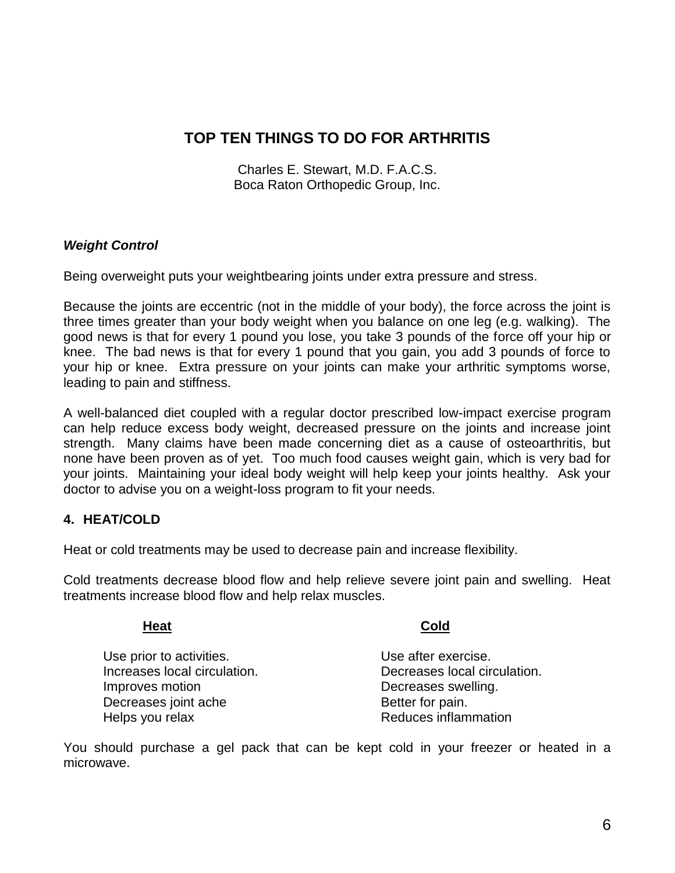Charles E. Stewart, M.D. F.A.C.S. Boca Raton Orthopedic Group, Inc.

## *Weight Control*

Being overweight puts your weightbearing joints under extra pressure and stress.

Because the joints are eccentric (not in the middle of your body), the force across the joint is three times greater than your body weight when you balance on one leg (e.g. walking). The good news is that for every 1 pound you lose, you take 3 pounds of the force off your hip or knee. The bad news is that for every 1 pound that you gain, you add 3 pounds of force to your hip or knee. Extra pressure on your joints can make your arthritic symptoms worse, leading to pain and stiffness.

A well-balanced diet coupled with a regular doctor prescribed low-impact exercise program can help reduce excess body weight, decreased pressure on the joints and increase joint strength. Many claims have been made concerning diet as a cause of osteoarthritis, but none have been proven as of yet. Too much food causes weight gain, which is very bad for your joints. Maintaining your ideal body weight will help keep your joints healthy. Ask your doctor to advise you on a weight-loss program to fit your needs.

## **4. HEAT/COLD**

Heat or cold treatments may be used to decrease pain and increase flexibility.

Cold treatments decrease blood flow and help relieve severe joint pain and swelling. Heat treatments increase blood flow and help relax muscles.

# **Heat Cold** Use prior to activities. The state of the Use after exercise. Improves motion **Exercise** Swelling.

Increases local circulation.  $\qquad \qquad$  Decreases local circulation. Decreases joint ache Better for pain. Helps you relax Reduces inflammation

You should purchase a gel pack that can be kept cold in your freezer or heated in a microwave.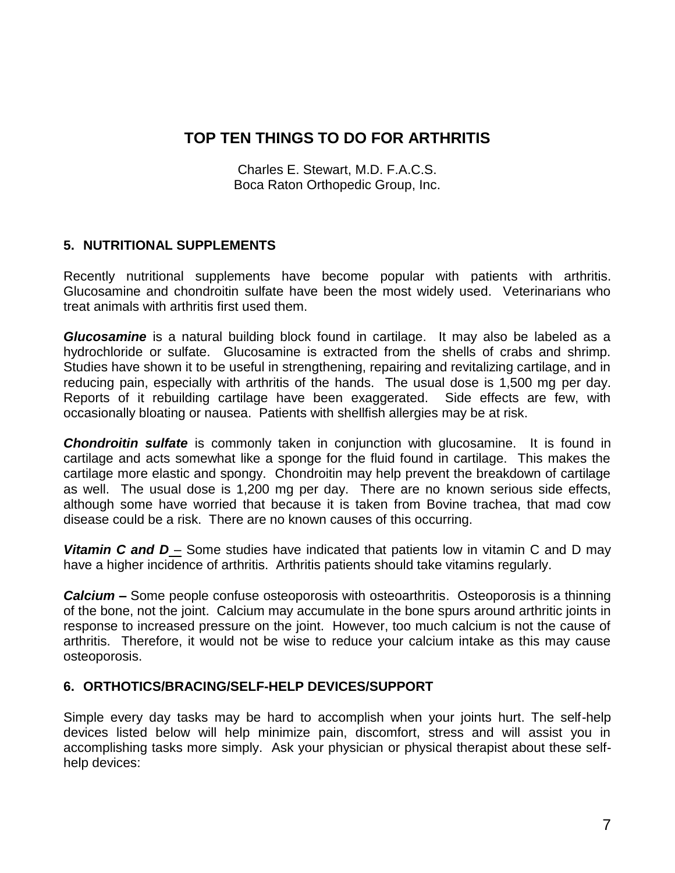Charles E. Stewart, M.D. F.A.C.S. Boca Raton Orthopedic Group, Inc.

## **5. NUTRITIONAL SUPPLEMENTS**

Recently nutritional supplements have become popular with patients with arthritis. Glucosamine and chondroitin sulfate have been the most widely used. Veterinarians who treat animals with arthritis first used them.

*Glucosamine* is a natural building block found in cartilage. It may also be labeled as a hydrochloride or sulfate. Glucosamine is extracted from the shells of crabs and shrimp. Studies have shown it to be useful in strengthening, repairing and revitalizing cartilage, and in reducing pain, especially with arthritis of the hands. The usual dose is 1,500 mg per day. Reports of it rebuilding cartilage have been exaggerated. Side effects are few, with occasionally bloating or nausea. Patients with shellfish allergies may be at risk.

**Chondroitin sulfate** is commonly taken in conjunction with glucosamine. It is found in cartilage and acts somewhat like a sponge for the fluid found in cartilage. This makes the cartilage more elastic and spongy. Chondroitin may help prevent the breakdown of cartilage as well. The usual dose is 1,200 mg per day. There are no known serious side effects, although some have worried that because it is taken from Bovine trachea, that mad cow disease could be a risk. There are no known causes of this occurring.

*Vitamin C and D* – Some studies have indicated that patients low in vitamin C and D may have a higher incidence of arthritis. Arthritis patients should take vitamins regularly.

*Calcium –* Some people confuse osteoporosis with osteoarthritis. Osteoporosis is a thinning of the bone, not the joint. Calcium may accumulate in the bone spurs around arthritic joints in response to increased pressure on the joint. However, too much calcium is not the cause of arthritis. Therefore, it would not be wise to reduce your calcium intake as this may cause osteoporosis.

## **6. ORTHOTICS/BRACING/SELF-HELP DEVICES/SUPPORT**

Simple every day tasks may be hard to accomplish when your joints hurt. The self-help devices listed below will help minimize pain, discomfort, stress and will assist you in accomplishing tasks more simply. Ask your physician or physical therapist about these selfhelp devices: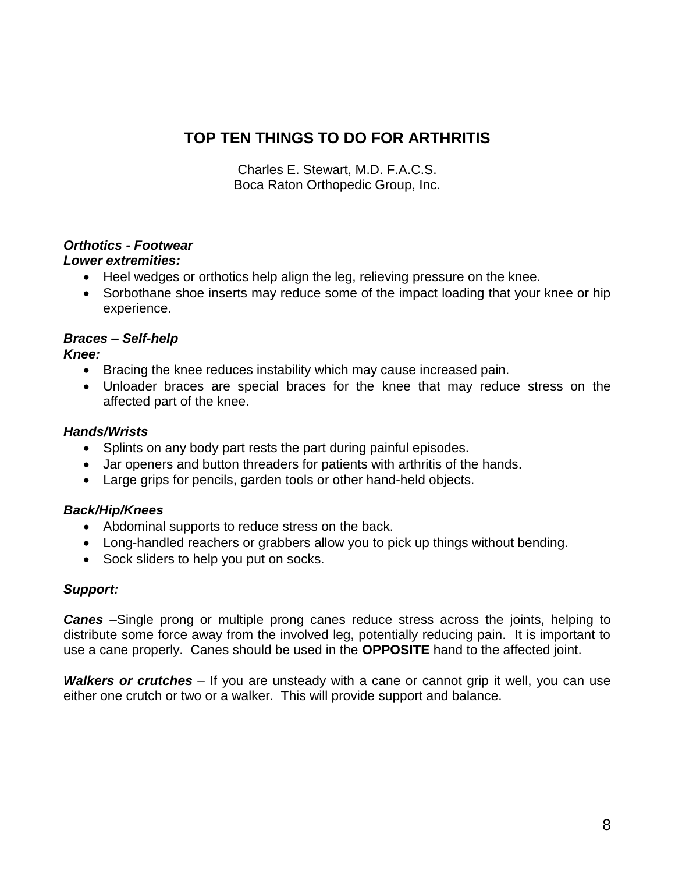Charles E. Stewart, M.D. F.A.C.S. Boca Raton Orthopedic Group, Inc.

## *Orthotics - Footwear*

## *Lower extremities:*

- Heel wedges or orthotics help align the leg, relieving pressure on the knee.
- Sorbothane shoe inserts may reduce some of the impact loading that your knee or hip experience.

## *Braces – Self-help*

*Knee:*

- Bracing the knee reduces instability which may cause increased pain.
- Unloader braces are special braces for the knee that may reduce stress on the affected part of the knee.

## *Hands/Wrists*

- Splints on any body part rests the part during painful episodes.
- Jar openers and button threaders for patients with arthritis of the hands.
- Large grips for pencils, garden tools or other hand-held objects.

## *Back/Hip/Knees*

- Abdominal supports to reduce stress on the back.
- Long-handled reachers or grabbers allow you to pick up things without bending.
- Sock sliders to help you put on socks.

## *Support:*

*Canes* –Single prong or multiple prong canes reduce stress across the joints, helping to distribute some force away from the involved leg, potentially reducing pain. It is important to use a cane properly. Canes should be used in the **OPPOSITE** hand to the affected joint.

*Walkers or crutches* – If you are unsteady with a cane or cannot grip it well, you can use either one crutch or two or a walker. This will provide support and balance.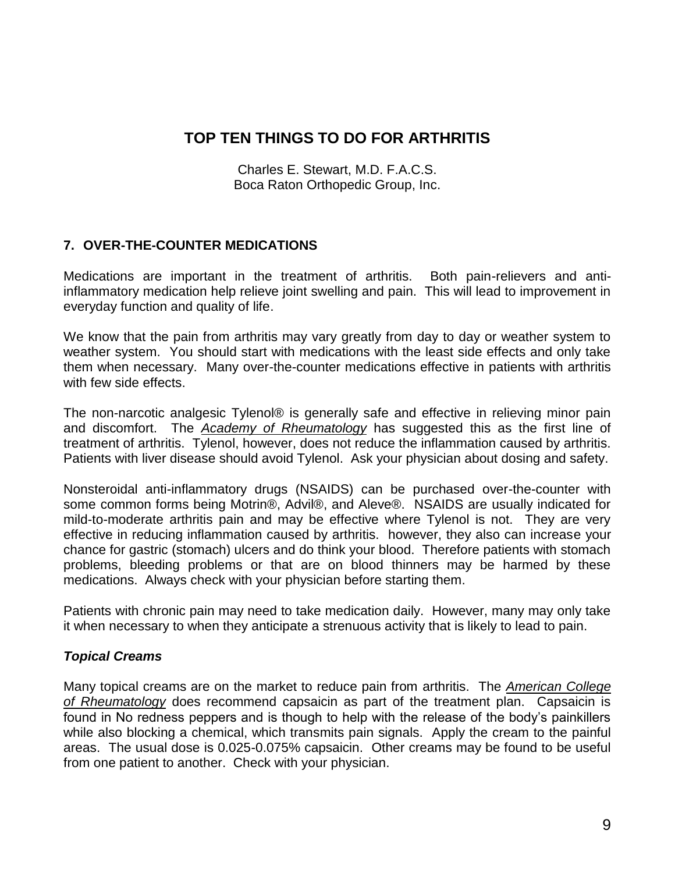Charles E. Stewart, M.D. F.A.C.S. Boca Raton Orthopedic Group, Inc.

## **7. OVER-THE-COUNTER MEDICATIONS**

Medications are important in the treatment of arthritis. Both pain-relievers and antiinflammatory medication help relieve joint swelling and pain. This will lead to improvement in everyday function and quality of life.

We know that the pain from arthritis may vary greatly from day to day or weather system to weather system. You should start with medications with the least side effects and only take them when necessary. Many over-the-counter medications effective in patients with arthritis with few side effects.

The non-narcotic analgesic Tylenol® is generally safe and effective in relieving minor pain and discomfort. The *Academy of Rheumatology* has suggested this as the first line of treatment of arthritis. Tylenol, however, does not reduce the inflammation caused by arthritis. Patients with liver disease should avoid Tylenol. Ask your physician about dosing and safety.

Nonsteroidal anti-inflammatory drugs (NSAIDS) can be purchased over-the-counter with some common forms being Motrin®, Advil®, and Aleve®. NSAIDS are usually indicated for mild-to-moderate arthritis pain and may be effective where Tylenol is not. They are very effective in reducing inflammation caused by arthritis. however, they also can increase your chance for gastric (stomach) ulcers and do think your blood. Therefore patients with stomach problems, bleeding problems or that are on blood thinners may be harmed by these medications. Always check with your physician before starting them.

Patients with chronic pain may need to take medication daily. However, many may only take it when necessary to when they anticipate a strenuous activity that is likely to lead to pain.

## *Topical Creams*

Many topical creams are on the market to reduce pain from arthritis. The *American College of Rheumatology* does recommend capsaicin as part of the treatment plan. Capsaicin is found in No redness peppers and is though to help with the release of the body's painkillers while also blocking a chemical, which transmits pain signals. Apply the cream to the painful areas. The usual dose is 0.025-0.075% capsaicin. Other creams may be found to be useful from one patient to another. Check with your physician.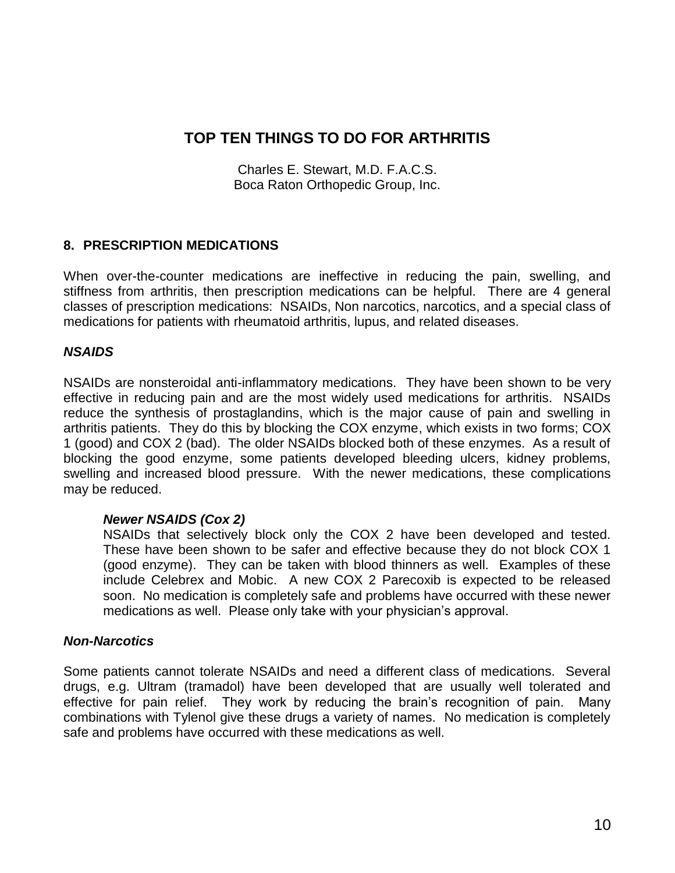Charles E. Stewart, M.D. F.A.C.S. Boca Raton Orthopedic Group, Inc.

## **8. PRESCRIPTION MEDICATIONS**

When over-the-counter medications are ineffective in reducing the pain, swelling, and stiffness from arthritis, then prescription medications can be helpful. There are 4 general classes of prescription medications: NSAIDs, Non narcotics, narcotics, and a special class of medications for patients with rheumatoid arthritis, lupus, and related diseases.

## *NSAIDS*

NSAIDs are nonsteroidal anti-inflammatory medications. They have been shown to be very effective in reducing pain and are the most widely used medications for arthritis. NSAIDs reduce the synthesis of prostaglandins, which is the major cause of pain and swelling in arthritis patients. They do this by blocking the COX enzyme, which exists in two forms; COX 1 (good) and COX 2 (bad). The older NSAIDs blocked both of these enzymes. As a result of blocking the good enzyme, some patients developed bleeding ulcers, kidney problems, swelling and increased blood pressure. With the newer medications, these complications may be reduced.

## *Newer NSAIDS (Cox 2)*

NSAIDs that selectively block only the COX 2 have been developed and tested. These have been shown to be safer and effective because they do not block COX 1 (good enzyme). They can be taken with blood thinners as well. Examples of these include Celebrex and Mobic. A new COX 2 Parecoxib is expected to be released soon. No medication is completely safe and problems have occurred with these newer medications as well. Please only take with your physician's approval.

## *Non-Narcotics*

Some patients cannot tolerate NSAIDs and need a different class of medications. Several drugs, e.g. Ultram (tramadol) have been developed that are usually well tolerated and effective for pain relief. They work by reducing the brain's recognition of pain. Many combinations with Tylenol give these drugs a variety of names. No medication is completely safe and problems have occurred with these medications as well.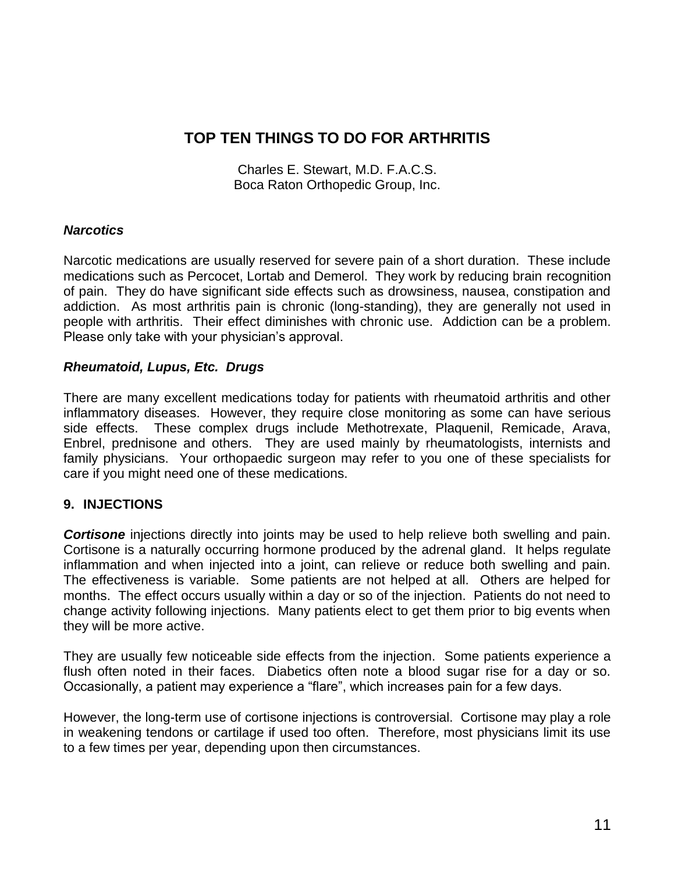Charles E. Stewart, M.D. F.A.C.S. Boca Raton Orthopedic Group, Inc.

#### *Narcotics*

Narcotic medications are usually reserved for severe pain of a short duration. These include medications such as Percocet, Lortab and Demerol. They work by reducing brain recognition of pain. They do have significant side effects such as drowsiness, nausea, constipation and addiction. As most arthritis pain is chronic (long-standing), they are generally not used in people with arthritis. Their effect diminishes with chronic use. Addiction can be a problem. Please only take with your physician's approval.

#### *Rheumatoid, Lupus, Etc. Drugs*

There are many excellent medications today for patients with rheumatoid arthritis and other inflammatory diseases. However, they require close monitoring as some can have serious side effects. These complex drugs include Methotrexate, Plaquenil, Remicade, Arava, Enbrel, prednisone and others. They are used mainly by rheumatologists, internists and family physicians. Your orthopaedic surgeon may refer to you one of these specialists for care if you might need one of these medications.

## **9. INJECTIONS**

**Cortisone** injections directly into joints may be used to help relieve both swelling and pain. Cortisone is a naturally occurring hormone produced by the adrenal gland. It helps regulate inflammation and when injected into a joint, can relieve or reduce both swelling and pain. The effectiveness is variable. Some patients are not helped at all. Others are helped for months. The effect occurs usually within a day or so of the injection. Patients do not need to change activity following injections. Many patients elect to get them prior to big events when they will be more active.

They are usually few noticeable side effects from the injection. Some patients experience a flush often noted in their faces. Diabetics often note a blood sugar rise for a day or so. Occasionally, a patient may experience a "flare", which increases pain for a few days.

However, the long-term use of cortisone injections is controversial. Cortisone may play a role in weakening tendons or cartilage if used too often. Therefore, most physicians limit its use to a few times per year, depending upon then circumstances.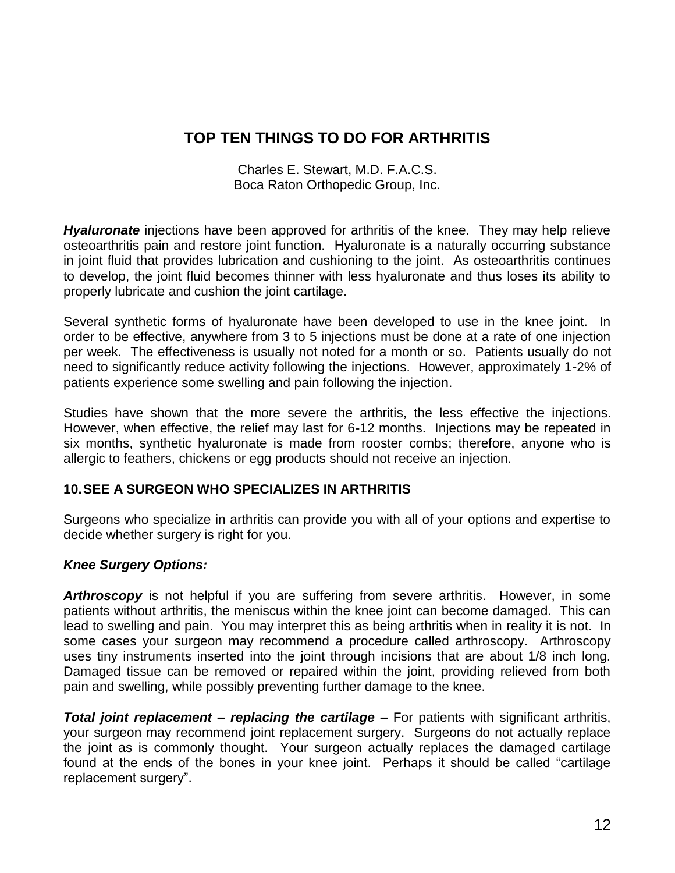Charles E. Stewart, M.D. F.A.C.S. Boca Raton Orthopedic Group, Inc.

*Hyaluronate* injections have been approved for arthritis of the knee. They may help relieve osteoarthritis pain and restore joint function. Hyaluronate is a naturally occurring substance in joint fluid that provides lubrication and cushioning to the joint. As osteoarthritis continues to develop, the joint fluid becomes thinner with less hyaluronate and thus loses its ability to properly lubricate and cushion the joint cartilage.

Several synthetic forms of hyaluronate have been developed to use in the knee joint. In order to be effective, anywhere from 3 to 5 injections must be done at a rate of one injection per week. The effectiveness is usually not noted for a month or so. Patients usually do not need to significantly reduce activity following the injections. However, approximately 1-2% of patients experience some swelling and pain following the injection.

Studies have shown that the more severe the arthritis, the less effective the injections. However, when effective, the relief may last for 6-12 months. Injections may be repeated in six months, synthetic hyaluronate is made from rooster combs; therefore, anyone who is allergic to feathers, chickens or egg products should not receive an injection.

## **10.SEE A SURGEON WHO SPECIALIZES IN ARTHRITIS**

Surgeons who specialize in arthritis can provide you with all of your options and expertise to decide whether surgery is right for you.

## *Knee Surgery Options:*

**Arthroscopy** is not helpful if you are suffering from severe arthritis. However, in some patients without arthritis, the meniscus within the knee joint can become damaged. This can lead to swelling and pain. You may interpret this as being arthritis when in reality it is not. In some cases your surgeon may recommend a procedure called arthroscopy. Arthroscopy uses tiny instruments inserted into the joint through incisions that are about 1/8 inch long. Damaged tissue can be removed or repaired within the joint, providing relieved from both pain and swelling, while possibly preventing further damage to the knee.

*Total joint replacement – replacing the cartilage –* For patients with significant arthritis, your surgeon may recommend joint replacement surgery. Surgeons do not actually replace the joint as is commonly thought. Your surgeon actually replaces the damaged cartilage found at the ends of the bones in your knee joint. Perhaps it should be called "cartilage replacement surgery".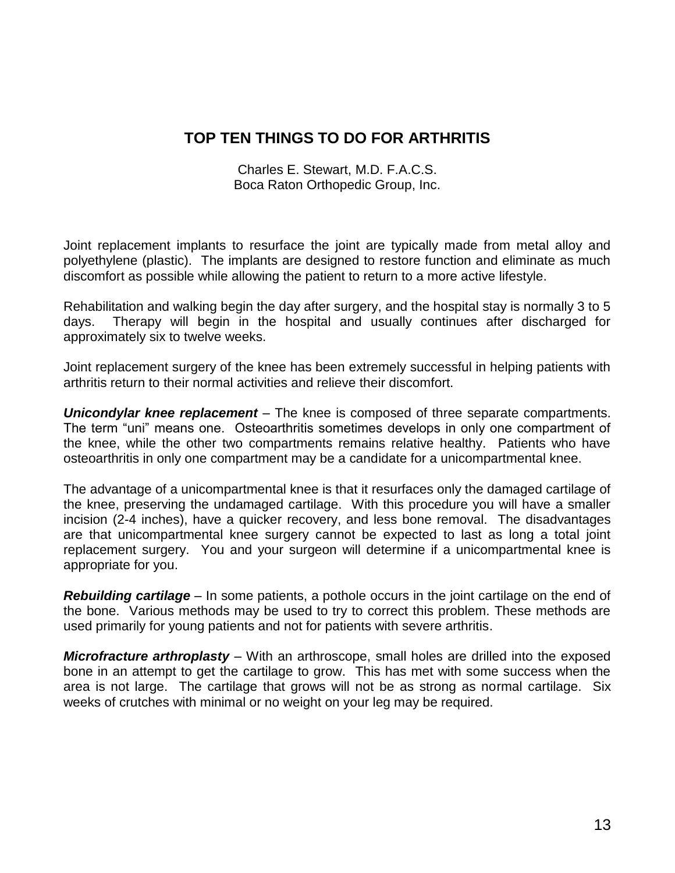Charles E. Stewart, M.D. F.A.C.S. Boca Raton Orthopedic Group, Inc.

Joint replacement implants to resurface the joint are typically made from metal alloy and polyethylene (plastic). The implants are designed to restore function and eliminate as much discomfort as possible while allowing the patient to return to a more active lifestyle.

Rehabilitation and walking begin the day after surgery, and the hospital stay is normally 3 to 5 days. Therapy will begin in the hospital and usually continues after discharged for approximately six to twelve weeks.

Joint replacement surgery of the knee has been extremely successful in helping patients with arthritis return to their normal activities and relieve their discomfort.

*Unicondylar knee replacement* – The knee is composed of three separate compartments. The term "uni" means one. Osteoarthritis sometimes develops in only one compartment of the knee, while the other two compartments remains relative healthy. Patients who have osteoarthritis in only one compartment may be a candidate for a unicompartmental knee.

The advantage of a unicompartmental knee is that it resurfaces only the damaged cartilage of the knee, preserving the undamaged cartilage. With this procedure you will have a smaller incision (2-4 inches), have a quicker recovery, and less bone removal. The disadvantages are that unicompartmental knee surgery cannot be expected to last as long a total joint replacement surgery. You and your surgeon will determine if a unicompartmental knee is appropriate for you.

*Rebuilding cartilage* – In some patients, a pothole occurs in the joint cartilage on the end of the bone. Various methods may be used to try to correct this problem. These methods are used primarily for young patients and not for patients with severe arthritis.

*Microfracture arthroplasty* – With an arthroscope, small holes are drilled into the exposed bone in an attempt to get the cartilage to grow. This has met with some success when the area is not large. The cartilage that grows will not be as strong as normal cartilage. Six weeks of crutches with minimal or no weight on your leg may be required.